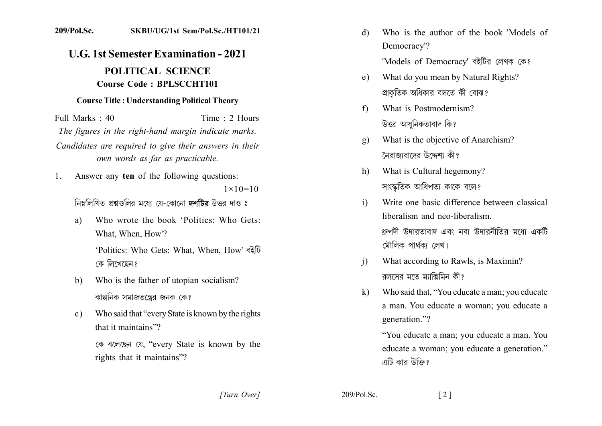## 209/Pol.Sc. SKBU/UG/1st Sem/Pol.Sc./HT101/21

## **U.G. 1st Semester Examination - 2021** POLITICAL SCIENCE **Course Code: BPLSCCHT101**

## **Course Title: Understanding Political Theory**

Full Marks  $\cdot$  40 Time: 2 Hours The figures in the right-hand margin indicate marks. Candidates are required to give their answers in their own words as far as practicable.

Answer any ten of the following questions:  $1_{-}$  $1 \times 10 = 10$ 

নিম্নলিখিত প্রশ্নগুলির মধ্যে যে-কোনো দশটির উত্তর দাও ঃ

Who wrote the book 'Politics' Who Gets' a) What, When, How'?

> 'Politics: Who Gets: What, When, How' বইটি কে লিখেছেন?

- Who is the father of utopian socialism?  $\mathbf{b}$ কাল্পনিক সমাজতন্ত্রের জনক কে?
- Who said that "every State is known by the rights"  $c)$ that it maintains"?

কে বলেছেন যে, "every State is known by the rights that it maintains"?

- Who is the author of the book 'Models of d) Democracy'? 'Models of Democracy' বইটির লেখক কে?
- What do you mean by Natural Rights?  $e)$ প্রাকতিক অধিকার বলতে কী বোঝ?
- What is Postmodernism?  $f$ উত্তর আধনিকতাবাদ কি?
- What is the objective of Anarchism?  $\mathbf{g}$ ) নৈরাজাবাদের উদ্দেশ্য কী?
- What is Cultural hegemony?  $h$ ) সাংস্কৃতিক আধিপত্য কাকে বলে?
- Write one basic difference between classical  $i)$ liberalism and neo-liberalism ধ্রুপদী উদারতাবাদ এবং নব্য উদারনীতির মধ্যে একটি মৌলিক পাৰ্থকা লেখ।
- What according to Rawls, is Maximin?  $\mathbf{i}$ রলসের মতে মাক্সিমিন কী?
- Who said that, "You educate a man; you educate  $\bf k$ a man. You educate a woman; you educate a generation."?

"You educate a man; you educate a man. You educate a woman; you educate a generation." এটি কার উক্তি?

[Turn Over]

 $209/P<sub>o</sub>l$ . Sc.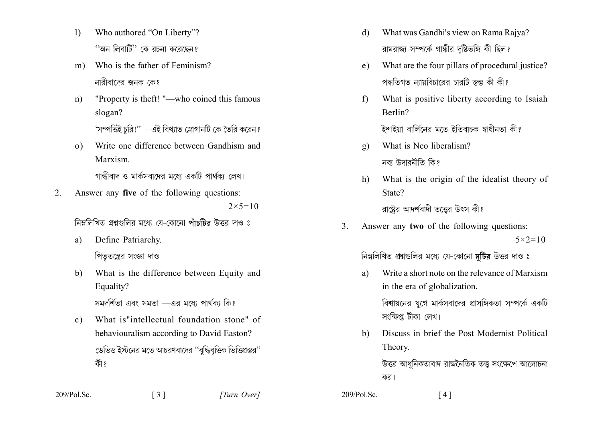- $\left| \right\rangle$ Who authored "On Liberty"? ''অন লিবার্টি'' কে রচনা করেছেন?
- Who is the father of Feminism?  $m)$ নারীবাদের জনক কে?
- "Property is theft! "—who coined this famous  $n)$ slogan? 'সম্পত্তিই চরি!'' —এই বিখ্যাত স্লোগানটি কে তৈরি করেন?
- Write one difference between Gandhism and  $\Omega$ Marxism.

গান্ধীবাদ ও মার্কসবাদেব মধ্যে একটি পার্থকা লেখ।

 $2<sub>1</sub>$ Answer any five of the following questions:  $2 \times 5 = 10$ 

নিম্নলিখিত প্রশ্নগুলির মধ্যে যে-কোনো পাঁচটির উত্তর দাও ঃ

- Define Patriarchy. a) পিততন্ত্রের সংজ্ঞা দাও।
- $b)$ What is the difference between Equity and Equality?

সমদর্শিতা এবং সমতা – এর মধ্যে পার্থকা কি?

What is"intellectual foundation stone" of  $c)$ behaviouralism according to David Easton? ডেভিড ইস্টনের মতে আচরণবাদের ''বদ্ধিবত্তিক ভিত্তিপ্রস্তর'' কী ?

 $\begin{bmatrix} 3 \end{bmatrix}$ 

- What was Gandhi's view on Rama Rajya? d) রামরাজ্য সম্পর্কে গান্ধীর দষ্টিভঙ্গি কী ছিল?
- What are the four pillars of procedural justice?  $e)$ পদ্ধতিগত ন্যায়বিচারের চারটি স্তম্ভ কী কী?
- What is positive liberty according to Isaiah  $f$ Berlin?

ইশাইয়া বার্লিনের মতে ইতিবাচক স্বাধীনতা কী?

- What is Neo liberalism?  $g)$ নবা উদাবনীতি কি?
- What is the origin of the idealist theory of  $h)$ State?

রাষ্টের আদর্শবাদী তত্তের উৎস কী?

 $\overline{3}$ Answer any two of the following questions:  $5 \times 2 = 10$ 

নিম্নলিখিত প্রশ্নগুলির মধ্যে যে-কোনো দুটির উত্তর দাও ঃ

Write a short note on the relevance of Marxism a) in the era of globalization.

বিশ্বায়নের যুগে মার্কসবাদের প্রাসঙ্গিকতা সম্পর্কে একটি সংক্ষিপ্ত টীকা লেখ।

Discuss in brief the Post Modernist Political  $h$ Theory.

উত্তর আধনিকতাবাদ রাজনৈতিক তত্ত সংক্ষেপে আলোচনা কর।

 $209/P<sub>o</sub>l$ . Sc.